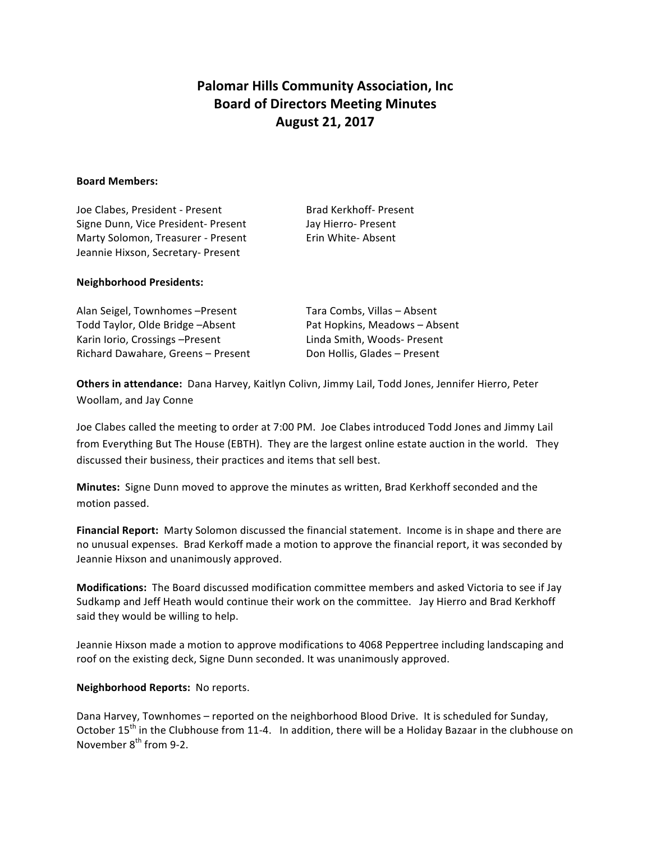## **Palomar Hills Community Association, Inc. Board of Directors Meeting Minutes August 21, 2017**

## **Board Members:**

Joe Clabes, President - Present Brad Kerkhoff- Present Signe Dunn, Vice President- Present Jay Hierro- Present Marty Solomon, Treasurer - Present Erin White- Absent Jeannie Hixson, Secretary- Present

## **Neighborhood Presidents:**

| Alan Seigel, Townhomes-Present<br>Todd Taylor, Olde Bridge - Absent | Tara Combs, Villas - Absent<br>Pat Hopkins, Meadows - Absent |
|---------------------------------------------------------------------|--------------------------------------------------------------|
|                                                                     |                                                              |
| Richard Dawahare, Greens - Present                                  | Don Hollis, Glades - Present                                 |

Others in attendance: Dana Harvey, Kaitlyn Colivn, Jimmy Lail, Todd Jones, Jennifer Hierro, Peter Woollam, and Jay Conne

Joe Clabes called the meeting to order at 7:00 PM. Joe Clabes introduced Todd Jones and Jimmy Lail from Everything But The House (EBTH). They are the largest online estate auction in the world. They discussed their business, their practices and items that sell best.

**Minutes:** Signe Dunn moved to approve the minutes as written, Brad Kerkhoff seconded and the motion passed.

**Financial Report:** Marty Solomon discussed the financial statement. Income is in shape and there are no unusual expenses. Brad Kerkoff made a motion to approve the financial report, it was seconded by Jeannie Hixson and unanimously approved.

**Modifications:** The Board discussed modification committee members and asked Victoria to see if Jay Sudkamp and Jeff Heath would continue their work on the committee. Jay Hierro and Brad Kerkhoff said they would be willing to help.

Jeannie Hixson made a motion to approve modifications to 4068 Peppertree including landscaping and roof on the existing deck, Signe Dunn seconded. It was unanimously approved.

## **Neighborhood Reports: No reports.**

Dana Harvey, Townhomes – reported on the neighborhood Blood Drive. It is scheduled for Sunday, October  $15<sup>th</sup>$  in the Clubhouse from 11-4. In addition, there will be a Holiday Bazaar in the clubhouse on November  $8^{th}$  from 9-2.